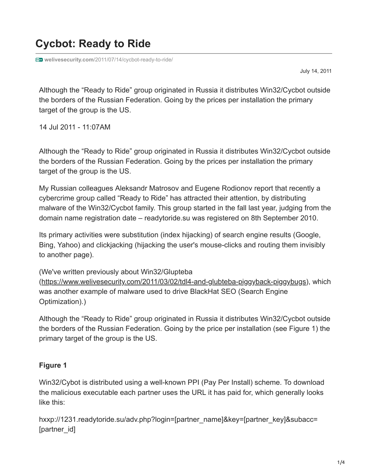# **Cycbot: Ready to Ride**

**welivesecurity.com**[/2011/07/14/cycbot-ready-to-ride/](https://www.welivesecurity.com/2011/07/14/cycbot-ready-to-ride/)

July 14, 2011

Although the "Ready to Ride" group originated in Russia it distributes Win32/Cycbot outside the borders of the Russian Federation. Going by the prices per installation the primary target of the group is the US.

14 Jul 2011 - 11:07AM

Although the "Ready to Ride" group originated in Russia it distributes Win32/Cycbot outside the borders of the Russian Federation. Going by the prices per installation the primary target of the group is the US.

My Russian colleagues Aleksandr Matrosov and Eugene Rodionov report that recently a cybercrime group called "Ready to Ride" has attracted their attention, by distributing malware of the Win32/Cycbot family. This group started in the fall last year, judging from the domain name registration date – readytoride.su was registered on 8th September 2010.

Its primary activities were substitution (index hijacking) of search engine results (Google, Bing, Yahoo) and clickjacking (hijacking the user's mouse-clicks and routing them invisibly to another page).

(We've written previously about Win32/Glupteba

(<https://www.welivesecurity.com/2011/03/02/tdl4-and-glubteba-piggyback-piggybugs>), which was another example of malware used to drive BlackHat SEO (Search Engine Optimization).)

Although the "Ready to Ride" group originated in Russia it distributes Win32/Cycbot outside the borders of the Russian Federation. Going by the price per installation (see Figure 1) the primary target of the group is the US.

### **Figure 1**

Win32/Cybot is distributed using a well-known PPI (Pay Per Install) scheme. To download the malicious executable each partner uses the URL it has paid for, which generally looks like this:

hxxp://1231.readytoride.su/adv.php?login=[partner\_name]&key=[partner\_key]&subacc= [partner\_id]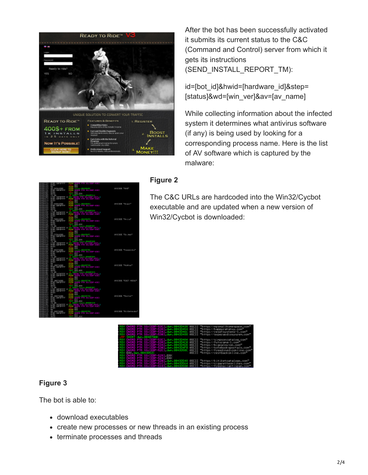

After the bot has been successfully activated it submits its current status to the C&C (Command and Control) server from which it gets its instructions (SEND\_INSTALL\_REPORT\_TM):

id=[bot\_id]&hwid=[hardware\_id]&step= [status]&wd=[win\_ver]&av=[av\_name]

While collecting information about the infected system it determines what antivirus software (if any) is being used by looking for a corresponding process name. Here is the list of AV software which is captured by the malware:

|   |                                                  |             | 89                                                              |                            |
|---|--------------------------------------------------|-------------|-----------------------------------------------------------------|----------------------------|
| ۰ | <b>ALL CICCORACTORY</b>                          |             | 21210-0043043C<br>DVDFG PTR Station-41                          | <b>UKSCIER TOUGH</b>       |
|   | <b>FEW ORDERS</b>                                |             |                                                                 |                            |
|   |                                                  |             | <b>DE .per</b>                                                  |                            |
|   | 100                                              |             | 1972 races 2012/214                                             |                            |
|   | in Prime in                                      |             | a,                                                              |                            |
|   | <b>Draw</b>                                      |             |                                                                 |                            |
|   | <b>SEADSANDE</b>                                 |             |                                                                 | <b>INSCIDE TOurn!"</b>     |
|   | FFEE OIPEFFFF                                    |             | PIZING - ROLNDARN<br>Dygwrth Pfe (1882–1884)                    |                            |
|   | <b>The Sec</b>                                   | 1057        | <b>DE</b> . DR                                                  |                            |
|   | $-16$                                            |             | <b><i><u>CAR CHANGE CONSTANT</u></i></b>                        |                            |
|   | an array                                         |             | <b>COLOR</b>                                                    |                            |
|   |                                                  |             |                                                                 |                            |
|   |                                                  |             |                                                                 |                            |
|   | <b>R</b> receive<br>FP BIS CAM'BPTPT             |             | <b>Side President</b>                                           | <b>INSCIDE FRIGAN</b>      |
|   | <b>FP DG</b>                                     |             | <b>Mi</b> , per                                                 |                            |
|   |                                                  |             | <b>TANK AND A</b>                                               |                            |
|   | trat outpress 190                                |             | <b>START</b>                                                    |                            |
|   | <b>PP EST</b>                                    |             |                                                                 |                            |
|   |                                                  |             |                                                                 |                            |
|   |                                                  |             | <b>DELL'ANCHE DE</b>                                            | INDOIDE FOr Help*          |
|   | <b>SA PODCADOR</b><br>NY BIS OBYEKTY             |             | t:                                                              |                            |
|   |                                                  |             | DO LEO                                                          |                            |
|   | <b>CTOC NOTOTYTY O HOME</b><br>FFEC COPEPTY: PUB |             | <b>SOUTHERN</b><br>ny Alb                                       |                            |
|   |                                                  |             |                                                                 |                            |
|   | 12.03                                            |             | <b>DIST</b>                                                     |                            |
|   | si omnime<br>PBC Gererry<br>PBC                  |             | <b>DOD OF THE HIS</b>                                           | INDODE "Naspective"        |
|   |                                                  |             | ers i                                                           |                            |
|   |                                                  | TEST        | <b>DYN BYD</b>                                                  |                            |
|   |                                                  |             | فالتقاف المتحا<br><b>State State</b><br><b>STATE</b><br>التواصف |                            |
|   | <b>FREE COMPANY</b> + HOME                       |             |                                                                 |                            |
|   | <b>PP 2.3</b>                                    |             | <b>DOG</b><br><b>EPRIT</b>                                      |                            |
|   | ลี้ อู้ซัลสิง                                    |             | <b>BULLER AND STATE OF THE</b>                                  | INDOIDE ** folklas*        |
|   |                                                  |             | <b>DIST</b>                                                     |                            |
|   | DB                                               | TEST        | DVI . DVI                                                       |                            |
|   | 4 08                                             |             | الكافح والمتحام                                                 |                            |
|   | #2 22 22 32 9 23                                 |             | - 11<br>والمناسبة                                               |                            |
|   |                                                  |             |                                                                 |                            |
|   | <b>NATCH ALBAN</b>                               |             | DV<br><b>Bally and Stations</b>                                 | INDOIDE PESET NODGE*       |
|   | <b>CONTRATTY</b>                                 |             |                                                                 |                            |
|   |                                                  | TEST        | DVIL, DVIL                                                      |                            |
|   |                                                  |             | .                                                               |                            |
|   | SEE ?                                            |             | <b>1123</b>                                                     |                            |
|   |                                                  |             | <b>COLLEGE</b>                                                  |                            |
|   |                                                  |             | EVID<br><b><i><u>EXECUTIVE CONTINUES</u></i></b>                | IPOCEDE "Ployton"          |
|   | <b>SHOW</b>                                      |             |                                                                 |                            |
|   |                                                  | <b>TELP</b> | BSIL ROD                                                        |                            |
|   |                                                  |             | لوالمستوان والتلامي                                             |                            |
|   | <b>AS DIRECTOR</b>                               |             |                                                                 |                            |
|   |                                                  |             | <b>PP-1</b>                                                     |                            |
|   |                                                  |             | <b>D'ut</b>                                                     |                            |
|   | <b>Corporate</b>                                 |             | <b>REAL PROPERTY</b>                                            | UNICODE "Il il Derivo deg" |
|   |                                                  |             |                                                                 |                            |

#### **Figure 2**

The C&C URLs are hardcoded into the Win32/Cycbot executable and are updated when a new version of Win32/Cycbot is downloaded:



# **Figure 3**

The bot is able to:

- download executables
- create new processes or new threads in an existing process
- terminate processes and threads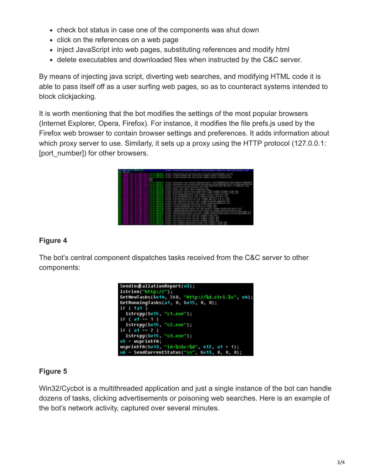- check bot status in case one of the components was shut down
- click on the references on a web page
- inject JavaScript into web pages, substituting references and modify html
- delete executables and downloaded files when instructed by the C&C server.

By means of injecting java script, diverting web searches, and modifying HTML code it is able to pass itself off as a user surfing web pages, so as to counteract systems intended to block clickjacking.

It is worth mentioning that the bot modifies the settings of the most popular browsers (Internet Explorer, Opera, Firefox). For instance, it modifies the file prefs.js used by the Firefox web browser to contain browser settings and preferences. It adds information about which proxy server to use. Similarly, it sets up a proxy using the HTTP protocol (127.0.0.1: [port\_number]) for other browsers.

|                                 | interior of deputy is under a supercharged increased to constraint departs. In<br>added to pervisable (2)<br>$-10^{14}$                                                                                                                                                                                                                                                                                                                                                          |
|---------------------------------|----------------------------------------------------------------------------------------------------------------------------------------------------------------------------------------------------------------------------------------------------------------------------------------------------------------------------------------------------------------------------------------------------------------------------------------------------------------------------------|
| <b>COLLEGE</b><br>窟             | PATE4 / / Wandah Polk, ad. / Bolly-Unit Lite / BLGEs Pins, /Tas. Pinder/Sh Fr.b., Jank<br>nocady (eacdes just con to jugo) nages riskare returble, ond<br><b>BATES</b><br>PATER / YOR 60 A BARGER (49) - Open S LES / Paders / th apa / Applycol. . price                                                                                                                                                                                                                        |
| <b>CONTRACTOR</b><br>201211-009 | his to a compressed as come covert as collect pressed as _ into Circuit UP of FRP (PPT) Indicate Fed 606 The 1<br>Interior compressed as come covert as collect specialized, into strategies in Form 11 adoptos en 406 Theor<br>http://fciaibs.com/sp-costent/y2icads/2010-20-w0-20-wbat-is-200-251.jpg<br>42<br>rosti Losni<br>(Loans-Twitter, on a<br>Floans-Yacebook, pop<br>su, conchere Letes-Tifeli-Loages-Sarader_Loan-(ER)<br><b>NB</b><br><b>PHILIP</b><br><b>Build</b> |
| <b>CONTRACT</b>                 | 7349/Livages/Totality_Logic_Jag<br><b>Tackson</b><br><b>IKTDE</b><br>icetes<br>MTDI<br>MTDI<br>vhot<br>and an charge of the<br><b>All Card</b><br>TORON B/T<br><b>Vinet</b><br>on say for<br><b><i><u>Internal</u></i></b><br><b>Chart Longwarters</b><br><b>PLAINTS</b>                                                                                                                                                                                                         |
| <b>STATISTICS</b>               | ary League / Four cities<br><b>Independent</b><br><b>Aug St</b><br><b>STATE</b><br><b>DATES</b><br>and Lisabell Pourcet delianced Lock<br>00.1<br><b>ICTDI</b><br>10450040608008<br>304<br><b>MTDI</b><br>hartige.<br><b>INTERFAIR</b><br>Area<br>amana sa termen t                                                                                                                                                                                                              |
| <b>CONTRACT</b>                 | <b>IA East</b><br>and Leases (Greenbecks Head) / E<br>carewrick work in 14 march 1.2<br>meal200.<br>website the age of the<br><b>ICTDS</b><br>1. Published<br><b>NETDE</b><br>$\frac{1}{2}$<br>uspect<br><b>MTDE</b><br><b>P-DIRED</b><br>ha tipe.<br><b>Barpers</b>                                                                                                                                                                                                             |
|                                 | <b>Sent</b><br>having.<br><b>PLAYMENT</b><br>14,124<br>$\frac{1}{2}$<br>http://cost.inedatingsecretfc<br>ARMS COPY LANGEL                                                                                                                                                                                                                                                                                                                                                        |

## **Figure 4**

The bot's central component dispatches tasks received from the C&C server to other components:



### **Figure 5**

Win32/Cycbot is a multithreaded application and just a single instance of the bot can handle dozens of tasks, clicking advertisements or poisoning web searches. Here is an example of the bot's network activity, captured over several minutes.